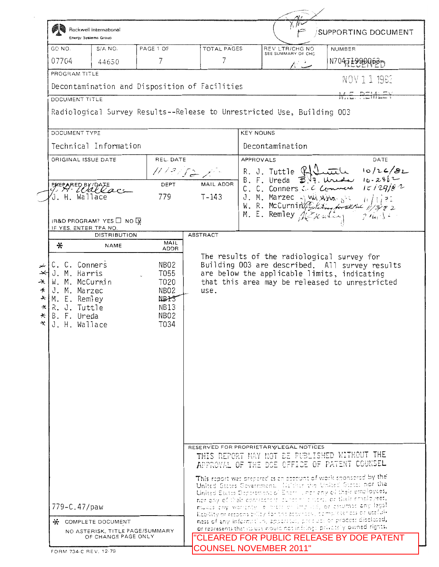|                     | <b>BIG</b> Rockwell International<br><b>Energy Systems Group</b>       |                                        |                               |                                                                                              |                    | <b>SUPPORTING DOCUMENT</b>                                                                                                                                                                                                       |  |
|---------------------|------------------------------------------------------------------------|----------------------------------------|-------------------------------|----------------------------------------------------------------------------------------------|--------------------|----------------------------------------------------------------------------------------------------------------------------------------------------------------------------------------------------------------------------------|--|
| GO NO.              | $S/A$ NO.                                                              | PAGE 1 OF                              | TOTAL PAGES                   |                                                                                              | REV LTR/CHG NO     | NUMBER                                                                                                                                                                                                                           |  |
| 07704               | 44650                                                                  | 7                                      | 7                             |                                                                                              | SEE SUMMARY OF CHG | N704J1990063-                                                                                                                                                                                                                    |  |
| PROGRAM TITLE       |                                                                        |                                        |                               |                                                                                              |                    | NOV 1 1 1982                                                                                                                                                                                                                     |  |
|                     | Decontamination and Disposition of Facilities                          |                                        |                               |                                                                                              |                    |                                                                                                                                                                                                                                  |  |
|                     | DOCUMENT TITLE                                                         |                                        |                               |                                                                                              |                    |                                                                                                                                                                                                                                  |  |
|                     | Radiological Survey Results--Release to Unrestricted Use, Building 003 |                                        |                               |                                                                                              |                    |                                                                                                                                                                                                                                  |  |
|                     | DOCUMENT TYPE                                                          |                                        |                               | <b>KEY NOUNS</b>                                                                             |                    |                                                                                                                                                                                                                                  |  |
|                     | Technical Information                                                  |                                        |                               |                                                                                              | Decontamination    |                                                                                                                                                                                                                                  |  |
|                     | ORIGINAL ISSUE DATE                                                    | REL. DATE                              |                               | APPROVALS<br>DATE<br>10/26/82<br>R. J. Tuttle $\mathbb{R}$                                   |                    |                                                                                                                                                                                                                                  |  |
|                     |                                                                        | 11/21522                               |                               |                                                                                              |                    |                                                                                                                                                                                                                                  |  |
|                     | EPARED BY DATE                                                         | DEPT                                   | MAIL ADDR                     |                                                                                              |                    | $B. F. Ureda \quad \overrightarrow{B} \overrightarrow{B}$ , Ureally 10-24/2<br>C. C. Conners C. C Commerce $10/29/82$                                                                                                            |  |
|                     | J. H. Wallace                                                          | 779                                    | $T-143$                       |                                                                                              |                    |                                                                                                                                                                                                                                  |  |
|                     |                                                                        |                                        |                               |                                                                                              |                    | J. M. Marzec $\frac{1}{4}$ with $\frac{1}{4}$ is $\frac{1}{4}$ is $\frac{1}{2}$<br>W. R. McCurnin (Aller for the $\frac{1}{4}$ is $\frac{1}{2}$<br>M. E. Remley $\frac{1}{4}$ / $\frac{1}{4}$ and $\frac{1}{4}$ is $\frac{1}{4}$ |  |
|                     | IR&D PROGRAM? YES □ NO                                                 |                                        |                               |                                                                                              |                    |                                                                                                                                                                                                                                  |  |
|                     | IF YES. ENTER TPA NO.<br><b>DISTRIBUTION</b>                           |                                        | ABSTRACT                      |                                                                                              |                    |                                                                                                                                                                                                                                  |  |
| ⋇                   | NAME                                                                   | MAIL<br>ADDR                           |                               |                                                                                              |                    |                                                                                                                                                                                                                                  |  |
|                     |                                                                        |                                        |                               |                                                                                              |                    | The results of the radiological survey for                                                                                                                                                                                       |  |
| '* ا<br>∗⊣          | C. C. Conners<br>J. M. Harris                                          | NBO2<br>T055                           |                               |                                                                                              |                    | Building 003 are described. All survey results<br>are below the applicable limits, indicating                                                                                                                                    |  |
| ⋇∣                  | W. M. McCurnin                                                         | T020                                   |                               |                                                                                              |                    | that this area may be released to unrestricted                                                                                                                                                                                   |  |
|                     | J. M. Marzec<br>$\star$ M. E. Remley                                   | NBO <sub>2</sub><br>NBIS               | use.                          |                                                                                              |                    |                                                                                                                                                                                                                                  |  |
|                     | $\star$ R. J. Tuttle                                                   | NB13                                   |                               |                                                                                              |                    |                                                                                                                                                                                                                                  |  |
| $\star$ B. F. Ureda |                                                                        | NB <sub>02</sub>                       |                               |                                                                                              |                    |                                                                                                                                                                                                                                  |  |
| ∗k∣                 | J. H. Wallace                                                          | T034                                   |                               |                                                                                              |                    |                                                                                                                                                                                                                                  |  |
|                     |                                                                        |                                        |                               |                                                                                              |                    |                                                                                                                                                                                                                                  |  |
|                     |                                                                        |                                        |                               |                                                                                              |                    |                                                                                                                                                                                                                                  |  |
|                     |                                                                        |                                        |                               |                                                                                              |                    |                                                                                                                                                                                                                                  |  |
|                     |                                                                        |                                        |                               |                                                                                              |                    |                                                                                                                                                                                                                                  |  |
|                     |                                                                        |                                        |                               |                                                                                              |                    |                                                                                                                                                                                                                                  |  |
|                     |                                                                        |                                        |                               |                                                                                              |                    |                                                                                                                                                                                                                                  |  |
|                     |                                                                        |                                        |                               |                                                                                              |                    |                                                                                                                                                                                                                                  |  |
|                     |                                                                        |                                        |                               |                                                                                              |                    |                                                                                                                                                                                                                                  |  |
|                     |                                                                        |                                        |                               |                                                                                              |                    |                                                                                                                                                                                                                                  |  |
|                     |                                                                        | RESERVED FOR PROPRIETARY/LEGAL NOTICES |                               |                                                                                              |                    |                                                                                                                                                                                                                                  |  |
|                     |                                                                        |                                        |                               | THIS REPORT MAY NOT BE PUBLISHED WITHOUT THE<br>APPROVAL OF THE DOE OFFICE OF PATENT COUNSEL |                    |                                                                                                                                                                                                                                  |  |
|                     |                                                                        |                                        |                               |                                                                                              |                    |                                                                                                                                                                                                                                  |  |
|                     |                                                                        |                                        |                               |                                                                                              |                    | This report was prepared as an account of work sponsored by the<br>United States Government. Habitur the United States not the                                                                                                   |  |
|                     |                                                                        |                                        |                               |                                                                                              |                    | United States Department of Energy nerveny of their employees,                                                                                                                                                                   |  |
|                     | 779-C.47/paw                                                           |                                        |                               |                                                                                              |                    | not any of their conviccions, sures this next, or their employees,<br>mukes any worldnly a prettier implicit, or estumed any lagol                                                                                               |  |
|                     |                                                                        |                                        |                               |                                                                                              |                    | Rability or responsibility for the acouracy, completendes or useful-                                                                                                                                                             |  |
|                     | * COMPLETE DOCUMENT<br>NO ASTERISK, TITLE PAGE/SUMMARY                 |                                        |                               |                                                                                              |                    | ness of any information, appeared, precisely or process disclosed,<br>or represents that its use would not infringe privately owned rights.                                                                                      |  |
|                     | OF CHANGE PAGE ONLY                                                    |                                        |                               |                                                                                              |                    | <b>CLEARED FOR PUBLIC RELEASE BY DOE PATENT</b>                                                                                                                                                                                  |  |
|                     | FORM 734-C REV. 12-79                                                  |                                        | <b>COUNSEL NOVEMBER 2011"</b> |                                                                                              |                    |                                                                                                                                                                                                                                  |  |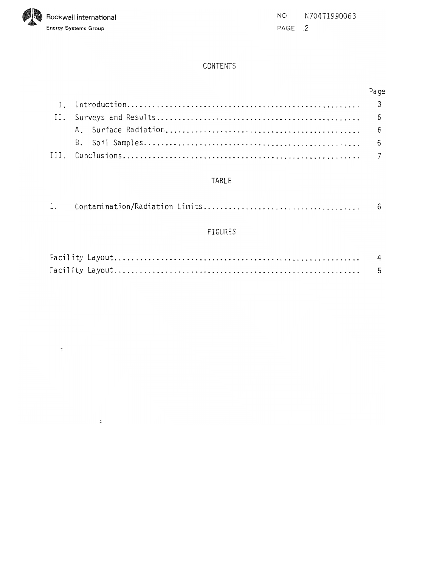

 $\ddot{\cdot}$ 

NO .N704TI990063 PAGE .2

## CONTENTS

|  | Page |
|--|------|
|  |      |
|  |      |
|  |      |
|  |      |
|  |      |

## TABLE

| <b>FIGURES</b> |  |
|----------------|--|
|                |  |
|                |  |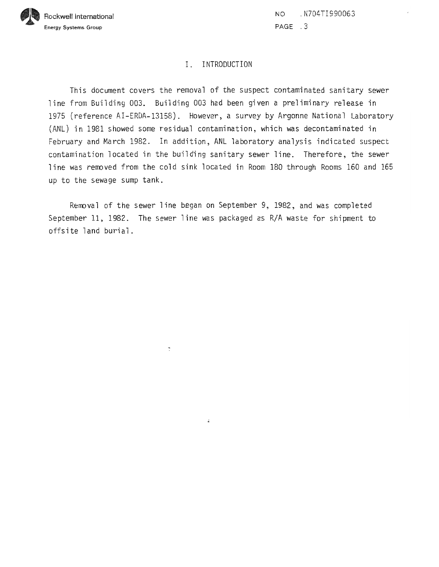

NO . N704TI990063 **PAGE** .3

### I. INTRODUCTION

This document covers the removal of the suspect contaminated sanitary sewer line from Building 003, Building 003 had been given a preliminary release in 1975 (reference AI-ERDA-13158). However, a survey by Argonne National Laboratory (ANL) in 1981 showed some residual contamination, which was decontaminated in February and March 1982. In addition, ANL laboratory analysis indicated suspect contamination located in the building sanitary sewer line. Therefore, the sewer line was removed from the cold sink located in Room 180 through Rooms 160 and 165 up to the sewage sump tank.

Remval of the sewer line began on September 9, 1982, and was completed September 11, 1982. The sewer line was packaged as R/A waste for shipment to offsite land burial.

 $\overline{\phantom{a}}$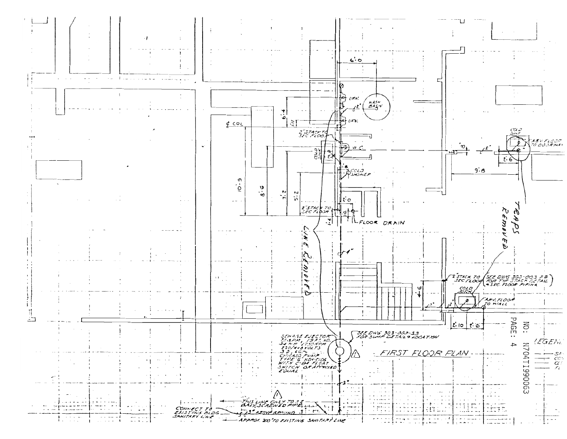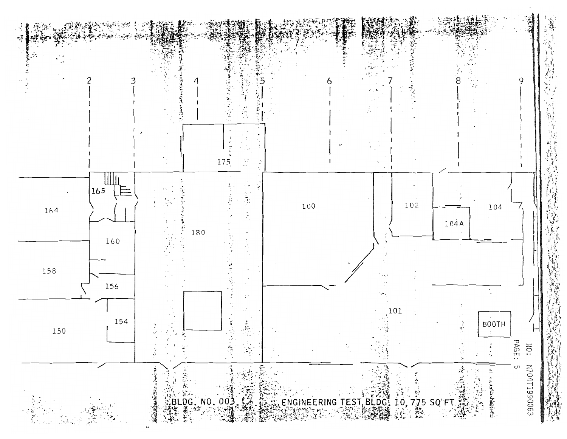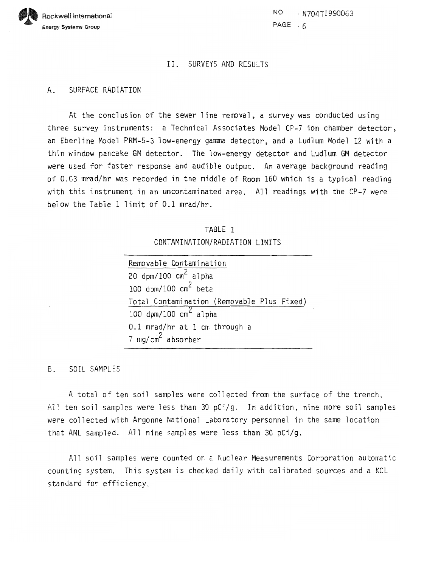

NO. . N704TI990063 PAGE . 6

#### 11. SURVEYS AND RESULTS

#### A. SURFACE RADIATION

At the conclusion of the sewer line removal, a survey was conducted using three survey instruments: a Technical Associates Model CP-7 ion chamber detector, an Eberline Model PRM-5-3 low-energy gamma detector, and a Ludlum Model 12 with a thin window pancake GM detector. The low-energy detector and Ludlum GM detector were used for faster response and audible output, An average background reading of 0.03 mrad/hr was recorded in the middle of Room 160 which is a typical reading with this instrument in an uncontaminated area. All readings with the CP-7 were below the Table 1 limit of 0.1 mrad/hr.

| TABLE 1                        |  |
|--------------------------------|--|
| CONTAMINATION/RADIATION LIMITS |  |

| Removable Contamination                    |  |  |  |  |  |
|--------------------------------------------|--|--|--|--|--|
| 20 dpm/100 $\text{cm}^2$ alpha             |  |  |  |  |  |
| 100 dpm/100 $\text{cm}^2$ beta             |  |  |  |  |  |
| Total Contamination (Removable Plus Fixed) |  |  |  |  |  |
| 100 dpm/100 $\text{cm}^2$ alpha            |  |  |  |  |  |
| 0.1 mrad/hr at 1 cm through a              |  |  |  |  |  |
| 7 mg/cm <sup>2</sup> absorber              |  |  |  |  |  |

B. SOIL SAMPLES

A total of ten soil samples were collected from the surface of the trench. All ten soil samples were less than 30 pCi/g. In addition, nine more soil samples were collected with Argonne National Laboratory personnel in the same location that ANL sampled. All nine samples were less than 30  $pCi/g$ .

All soil samples were counted on a Nuclear Measurements Corporation automatic counting system. This system is checked daily with calibrated sources and a KCL standard for efficiency.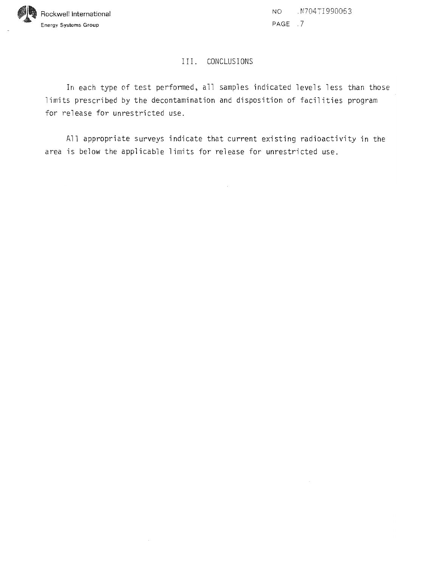

NO . Y704TI990053 PAGE *.7* 

#### 111. CONCLUSIONS

In each type of test performed, all samples indicated levels less than those limits prescribed by the decontamination and disposition of facilities program for release for unrestricted use.

All appropriate surveys indicate that current existing radioactivity in the area is below the applicable limits for release for unrestricted use.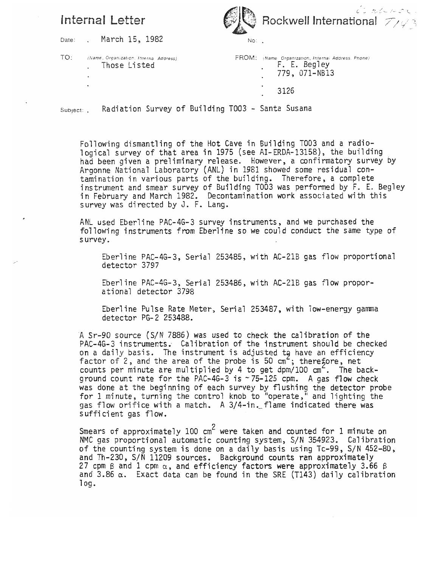# Internal Letter



Date: . March 15, 1982

TO: (Name, Organization, Interna Address) . Those Listed

| $\mathsf{FROM}\colon$ (Name: Organization, Internal Address, Phone)<br>F. E. Begley<br>779, 071-NB13 |  |
|------------------------------------------------------------------------------------------------------|--|
| 3126                                                                                                 |  |

Subject: . Radiation Survey of Building T003 - Santa Susana

Following dismantling of the Hot Cave in Building TO03 and a radio-1 ogical survey of that area in 1975 (see AI-ERDA-13158), the building had been given a preliminary release. However, a confirmatory survey by Argonne National Laboratory (ANL) in 1981 showed some residual contamination in various parts of the building. Therefore, a complete instrument and smear survey of Building TOO3 was performed by F. E. Begley in February and March 1982. Decontamination work associated wi th this survey was directed by J. F. Lang.

ANL used Eberline PAC-4G-3 survey instruments, and we purchased the following instruments from Eberline so we could conduct the same type of s urvey .

Eberline PAC-4G-3, Serial 253485, with AC-21B gas flow proportional detector 3797

Eberline PAC-4G-3, Serial 253486, with AC-21B gas flow proporational detector 3798

Eberline Pulse Rate Meter, Serial 253487, with low-energy gamma detector PG-2 253488.

A Sr-90 source (S/N 7886) was used to check the calibration of the PAC-4G-3 instruments. Calibration of the instrument should be checked on a daily basis. The instrument is adjusted to have an efficiency factor of 2, and the area of the probe is 50  $cm^2$ ; therefore, net counts per minute are mu1 tip1 ied by 4 to get dpm/100 **an** . The background count rate for the PAC-4G-3 is  $\sim$  75-125 cpm. A gas flow check was done at the beginning of each survey by flushing the detector probe for 1 minute, turning the control knob to "operate," and lighting the gas flow orifice with a match. A 3/4-in. flame indicated there was sufficient gas flow.

Smears of approximately 100  $cm<sup>2</sup>$  were taken and counted for 1 minute on NMC gas proportional automatic counting system, S/N 354923. Calibration of the counting system is done on a daily basis using Tc-99, S/N 452-80, and Th-230, S/N 11209 sources. Background counts ran approximately 27 cpm  $\beta$  and 1 cpm  $\alpha$ , and efficiency factors were approximately 3.66  $\beta$ and 3.86  $\alpha$ . Exact data can be found in the SRE (T143) daily calibration log.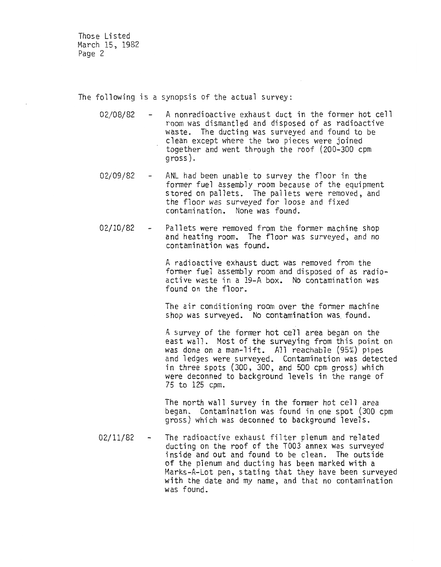Those Listed March 15, 1982 Page 2

The following is a synopsis of the actual survey:

- 02/08/82 A nonradioactive exhaust duct in the former hot cell room was dismantl ed and di sposed of as radioactive waste. The ducting was surveyed and found to be clean except where the two pieces were joined together and went through the roof (200-300 cpm gross).
- 02/09/82 ANL had been unable to survey the floor in the former fuel assembly room because of the equipment stored on pallets. The pallets were removed, and the floor was surveyed for loose and fixed contami nation. None was found.
- 02/10/82 Pallets were removed from the former machine shop<br>and heating room. The floor was surveyed, and no contamination was found.

A radioactive exhaust duct was removed from the former fuel assembly room and disposed of as radioactive waste in a 19-A box. No contamination was found on the floor.

The air conditioning room over the former machine shop was surveyed. No contamination was. found.

A survey of the former hot cell area began on the east wall. Most of the surveying from this point on was done on a man-lift. All reachable (95%) pipes and ledges were surveyed. Contamination was detected in three spots  $(300, 300,$  and  $500$  cpm gross) which were deconned to background levels in the range of 75 to 125 cpm.

The north wall survey in the former hot cell area began. Contamination was found in one spot (300 cpm gross) which was deconned to background levels.

02/11/82 - The radioactive exhaust filter plenum and related ducting on the roof of the TO03 annex was surveyed inside and out and found to be clean. The outside of the plenum and ducting has been marked with a Marks-A-Lot pen, stating that they have been surveyed with the date and my name, and that no contamination was found.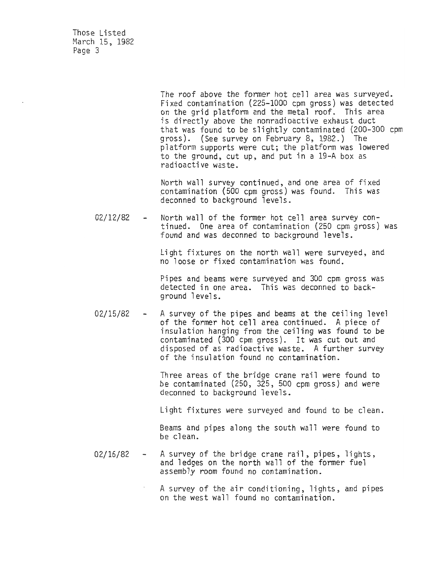Those Listed March 15, 1982 Page 3

> The roof above the former hot cell area was surveyed. Fi xed contamination (225-1000 cpm gross ) was detected on the grid platform and the metal roof. This area is directly above the nonradioactive exhaust duct that was found to be slightly contaminated (200-300 cpm gross). (See survey on February 8, 1982.) The platform supports were cut; the platform was lowered to the ground, cut up, and put in a 19-A box as radioactive waste.

North wall survey continued, and one area of fixed contamination (500 cpm gross) was found. This was deconned to background levels.

02/12/82 - North wall of the former hot cell area survey continued. One area of contamination (250 cpm gross) was found and was deconned to background levels.

> Li ght fixtures on the north wall were surveyed, and no loose or fixed contamination was found.

> Pipes and beams were surveyed and 300 cpm gross was detected in one area. This was deconned to background levels.

02/15/82 - A survey of the pipes and beams at the ceiling level of the former hot cell area continued. A piece of insulation hanging from the ceiling was found to be contaminated (300 cpm gross). It was cut out and disposed of as radioactive waste. A further survey of the insulation found no contamination.

> Three areas of the bridge crane rail were found to be contaminated (250, 325, 500 cpm gross) and were deconned to background levels.

Light fixtures were surveyed and found to be clean.

Beams and pipes along the south wall were found to be clean.

02/16/82 - A survey of the bridge crane rail, pipes, lights,<br>and ledges on the north wall of the former fuel assembly room found no contamination.

> A survey of the air conditioning, lights, and pipes on the west wall found no contamination.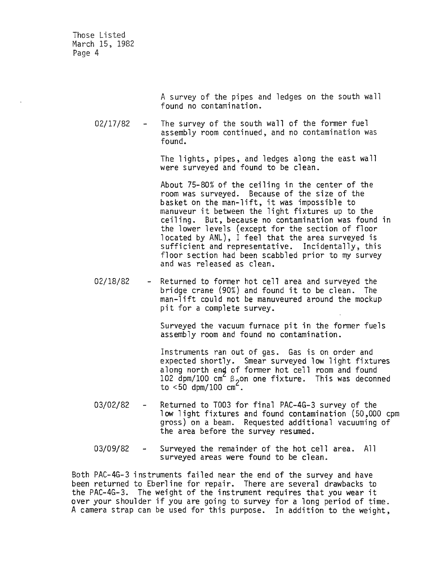Those Listed March 15, 1982 Page 4

> A survey of the pipes and ledges on the south wall found no contamination.

02/17/82 - The survey of the south wall of the former fuel assembly room continued , and no contamination was found.

> The lights, pipes, and ledges along the east wall were surveyed and found to be clean.

About 75-80% of the ceiling in the center of the room was surveyed. Because of the size of the basket on the man-lift, it was impossible to manuveur it between the light fixtures up to the ceiling. But, because no contamination was found in the lower levels (except for the section of floor located by ANL), I feel that the area surveyed is sufficient and representative. Incidentally, this floor section had been scabbled prior to my survey and was released as clean.

02/18/82 - Returned to former hot cell area and surveyed the bridge crane (90%) and found it to be clean. The man-lift could not be manuveured around the mockup pit for a complete survey.

> Surveyed the vacuum furnace pit in the former fuels assembly room and found no contamination.

Instruments ran out of gas. Gas is on order and expected shortly. Smear surveyed low light fixtures along north end of former hot cell room and found 102 dpm/100 cm<sup>2</sup> B<sub>2</sub>on one fixture. This was deconned<br>to <50 dpm/100 cm<sup>2</sup>.

- 03/02/82 Returned to TO03 for final PAC-4G-3 survey of the low light fixtures and found contamination (50,000 cpm gross) on a beam. Requested additional vacuuming of the area before the survey resumed.
- 03/09/82 Surveyed the remainder of the hot cell area. All surveyed areas were found to be clean.

Both PAC-4G-3 instruments failed near the end of the survey and have been returned to Eberline for repair. There are several drawbacks to the PAC-4G-3. The weight of the instrument requires that you wear it over your shoulder if you are going to survey for a long period of time. A camera strap can be used for this purpose. In addition to the weight,